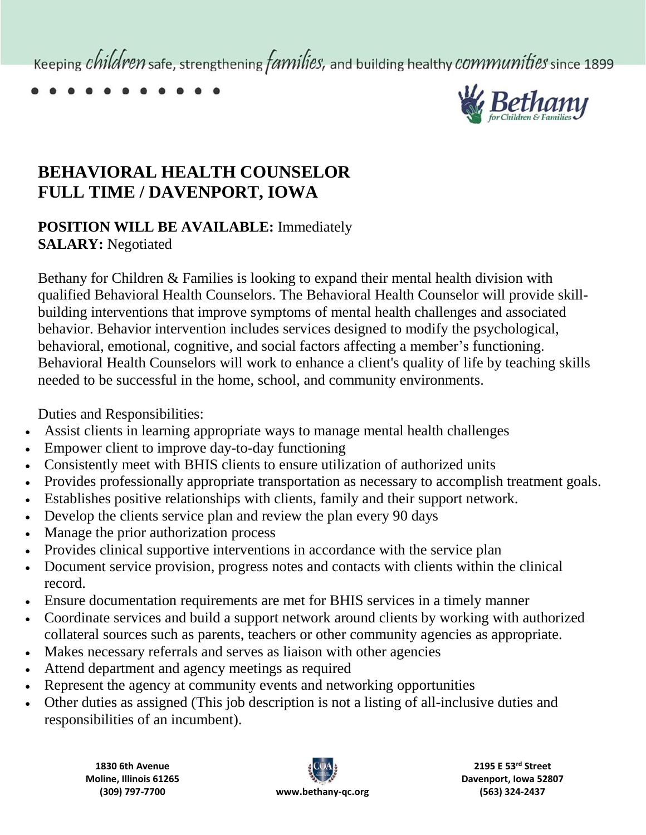Keeping *children* safe, strengthening *families*, and building healthy *communities* since 1899



## **BEHAVIORAL HEALTH COUNSELOR FULL TIME / DAVENPORT, IOWA**

## **POSITION WILL BE AVAILABLE:** Immediately **SALARY:** Negotiated

Bethany for Children & Families is looking to expand their mental health division with qualified Behavioral Health Counselors. The Behavioral Health Counselor will provide skillbuilding interventions that improve symptoms of mental health challenges and associated behavior. Behavior intervention includes services designed to modify the psychological, behavioral, emotional, cognitive, and social factors affecting a member's functioning. Behavioral Health Counselors will work to enhance a client's quality of life by teaching skills needed to be successful in the home, school, and community environments.

Duties and Responsibilities:

- Assist clients in learning appropriate ways to manage mental health challenges
- Empower client to improve day-to-day functioning
- Consistently meet with BHIS clients to ensure utilization of authorized units
- Provides professionally appropriate transportation as necessary to accomplish treatment goals.
- Establishes positive relationships with clients, family and their support network.
- Develop the clients service plan and review the plan every 90 days
- Manage the prior authorization process
- Provides clinical supportive interventions in accordance with the service plan
- Document service provision, progress notes and contacts with clients within the clinical record.
- Ensure documentation requirements are met for BHIS services in a timely manner
- Coordinate services and build a support network around clients by working with authorized collateral sources such as parents, teachers or other community agencies as appropriate.
- Makes necessary referrals and serves as liaison with other agencies
- Attend department and agency meetings as required
- Represent the agency at community events and networking opportunities
- Other duties as assigned (This job description is not a listing of all-inclusive duties and responsibilities of an incumbent).

**1830 6th Avenue Moline, Illinois 61265**



**2195 E 53rd Street Davenport, Iowa 52807 (563) 324-2437**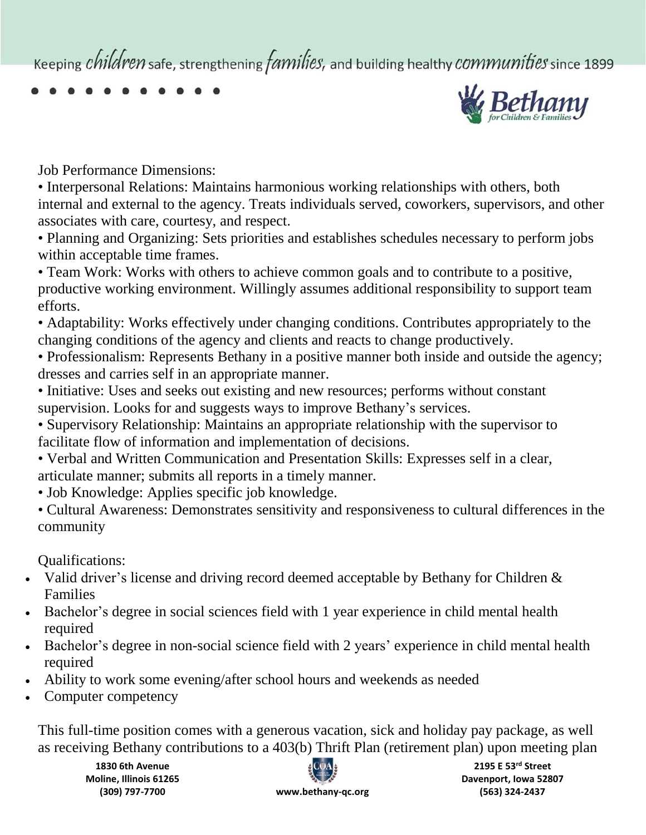Keeping *children* safe, strengthening *families*, and building healthy *communities* since 1899



Job Performance Dimensions:

• Interpersonal Relations: Maintains harmonious working relationships with others, both internal and external to the agency. Treats individuals served, coworkers, supervisors, and other associates with care, courtesy, and respect.

• Planning and Organizing: Sets priorities and establishes schedules necessary to perform jobs within acceptable time frames.

• Team Work: Works with others to achieve common goals and to contribute to a positive, productive working environment. Willingly assumes additional responsibility to support team efforts.

• Adaptability: Works effectively under changing conditions. Contributes appropriately to the changing conditions of the agency and clients and reacts to change productively.

• Professionalism: Represents Bethany in a positive manner both inside and outside the agency; dresses and carries self in an appropriate manner.

- Initiative: Uses and seeks out existing and new resources; performs without constant supervision. Looks for and suggests ways to improve Bethany's services.
- Supervisory Relationship: Maintains an appropriate relationship with the supervisor to facilitate flow of information and implementation of decisions.
- Verbal and Written Communication and Presentation Skills: Expresses self in a clear, articulate manner; submits all reports in a timely manner.
- Job Knowledge: Applies specific job knowledge.
- Cultural Awareness: Demonstrates sensitivity and responsiveness to cultural differences in the community

Qualifications:

- Valid driver's license and driving record deemed acceptable by Bethany for Children & Families
- Bachelor's degree in social sciences field with 1 year experience in child mental health required
- Bachelor's degree in non-social science field with 2 years' experience in child mental health required
- Ability to work some evening/after school hours and weekends as needed
- Computer competency

This full-time position comes with a generous vacation, sick and holiday pay package, as well as receiving Bethany contributions to a 403(b) Thrift Plan (retirement plan) upon meeting plan

**1830 6th Avenue Moline, Illinois 61265 (309) 797-7700 www.bethany-qc.org**



**2195 E 53rd Street Davenport, Iowa 52807 (563) 324-2437**